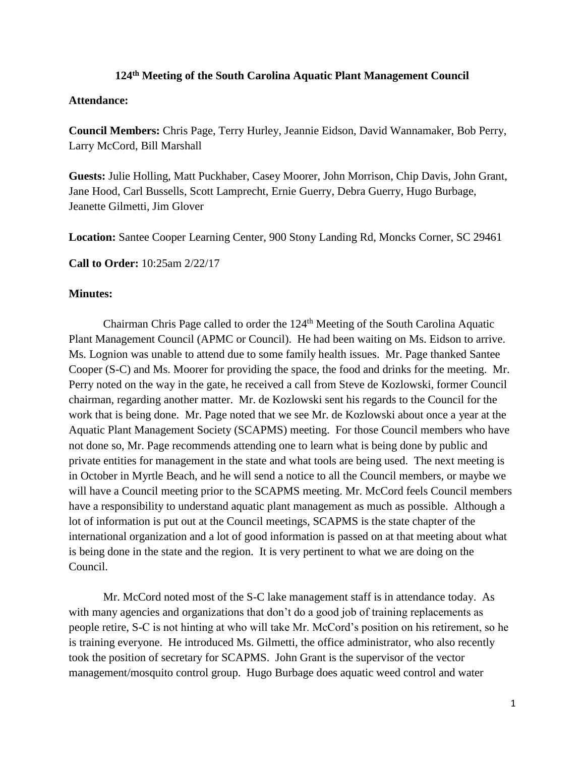## **124th Meeting of the South Carolina Aquatic Plant Management Council**

## **Attendance:**

**Council Members:** Chris Page, Terry Hurley, Jeannie Eidson, David Wannamaker, Bob Perry, Larry McCord, Bill Marshall

**Guests:** Julie Holling, Matt Puckhaber, Casey Moorer, John Morrison, Chip Davis, John Grant, Jane Hood, Carl Bussells, Scott Lamprecht, Ernie Guerry, Debra Guerry, Hugo Burbage, Jeanette Gilmetti, Jim Glover

**Location:** Santee Cooper Learning Center, 900 Stony Landing Rd, Moncks Corner, SC 29461

**Call to Order:** 10:25am 2/22/17

## **Minutes:**

Chairman Chris Page called to order the 124<sup>th</sup> Meeting of the South Carolina Aquatic Plant Management Council (APMC or Council). He had been waiting on Ms. Eidson to arrive. Ms. Lognion was unable to attend due to some family health issues. Mr. Page thanked Santee Cooper (S-C) and Ms. Moorer for providing the space, the food and drinks for the meeting. Mr. Perry noted on the way in the gate, he received a call from Steve de Kozlowski, former Council chairman, regarding another matter. Mr. de Kozlowski sent his regards to the Council for the work that is being done. Mr. Page noted that we see Mr. de Kozlowski about once a year at the Aquatic Plant Management Society (SCAPMS) meeting. For those Council members who have not done so, Mr. Page recommends attending one to learn what is being done by public and private entities for management in the state and what tools are being used. The next meeting is in October in Myrtle Beach, and he will send a notice to all the Council members, or maybe we will have a Council meeting prior to the SCAPMS meeting. Mr. McCord feels Council members have a responsibility to understand aquatic plant management as much as possible. Although a lot of information is put out at the Council meetings, SCAPMS is the state chapter of the international organization and a lot of good information is passed on at that meeting about what is being done in the state and the region. It is very pertinent to what we are doing on the Council.

Mr. McCord noted most of the S-C lake management staff is in attendance today. As with many agencies and organizations that don't do a good job of training replacements as people retire, S-C is not hinting at who will take Mr. McCord's position on his retirement, so he is training everyone. He introduced Ms. Gilmetti, the office administrator, who also recently took the position of secretary for SCAPMS. John Grant is the supervisor of the vector management/mosquito control group. Hugo Burbage does aquatic weed control and water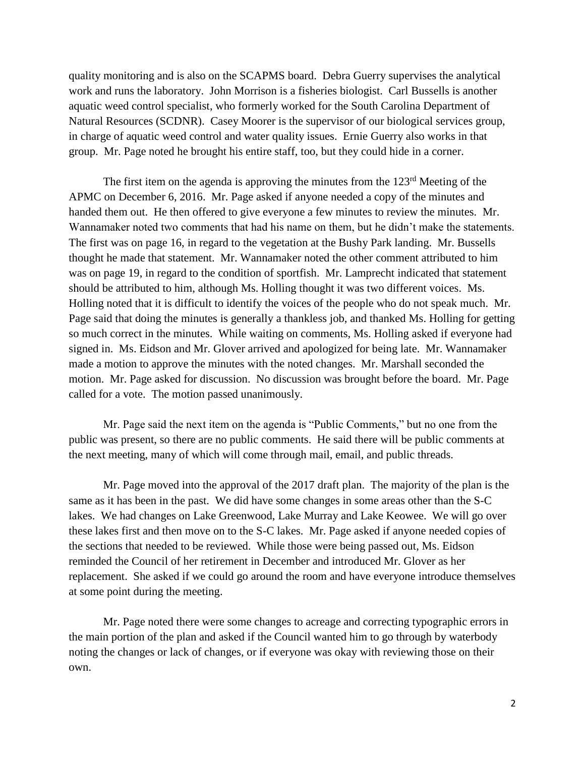quality monitoring and is also on the SCAPMS board. Debra Guerry supervises the analytical work and runs the laboratory. John Morrison is a fisheries biologist. Carl Bussells is another aquatic weed control specialist, who formerly worked for the South Carolina Department of Natural Resources (SCDNR). Casey Moorer is the supervisor of our biological services group, in charge of aquatic weed control and water quality issues. Ernie Guerry also works in that group. Mr. Page noted he brought his entire staff, too, but they could hide in a corner.

The first item on the agenda is approving the minutes from the 123<sup>rd</sup> Meeting of the APMC on December 6, 2016. Mr. Page asked if anyone needed a copy of the minutes and handed them out. He then offered to give everyone a few minutes to review the minutes. Mr. Wannamaker noted two comments that had his name on them, but he didn't make the statements. The first was on page 16, in regard to the vegetation at the Bushy Park landing. Mr. Bussells thought he made that statement. Mr. Wannamaker noted the other comment attributed to him was on page 19, in regard to the condition of sportfish. Mr. Lamprecht indicated that statement should be attributed to him, although Ms. Holling thought it was two different voices. Ms. Holling noted that it is difficult to identify the voices of the people who do not speak much. Mr. Page said that doing the minutes is generally a thankless job, and thanked Ms. Holling for getting so much correct in the minutes. While waiting on comments, Ms. Holling asked if everyone had signed in. Ms. Eidson and Mr. Glover arrived and apologized for being late. Mr. Wannamaker made a motion to approve the minutes with the noted changes. Mr. Marshall seconded the motion. Mr. Page asked for discussion. No discussion was brought before the board. Mr. Page called for a vote. The motion passed unanimously.

Mr. Page said the next item on the agenda is "Public Comments," but no one from the public was present, so there are no public comments. He said there will be public comments at the next meeting, many of which will come through mail, email, and public threads.

Mr. Page moved into the approval of the 2017 draft plan. The majority of the plan is the same as it has been in the past. We did have some changes in some areas other than the S-C lakes. We had changes on Lake Greenwood, Lake Murray and Lake Keowee. We will go over these lakes first and then move on to the S-C lakes. Mr. Page asked if anyone needed copies of the sections that needed to be reviewed. While those were being passed out, Ms. Eidson reminded the Council of her retirement in December and introduced Mr. Glover as her replacement. She asked if we could go around the room and have everyone introduce themselves at some point during the meeting.

Mr. Page noted there were some changes to acreage and correcting typographic errors in the main portion of the plan and asked if the Council wanted him to go through by waterbody noting the changes or lack of changes, or if everyone was okay with reviewing those on their own.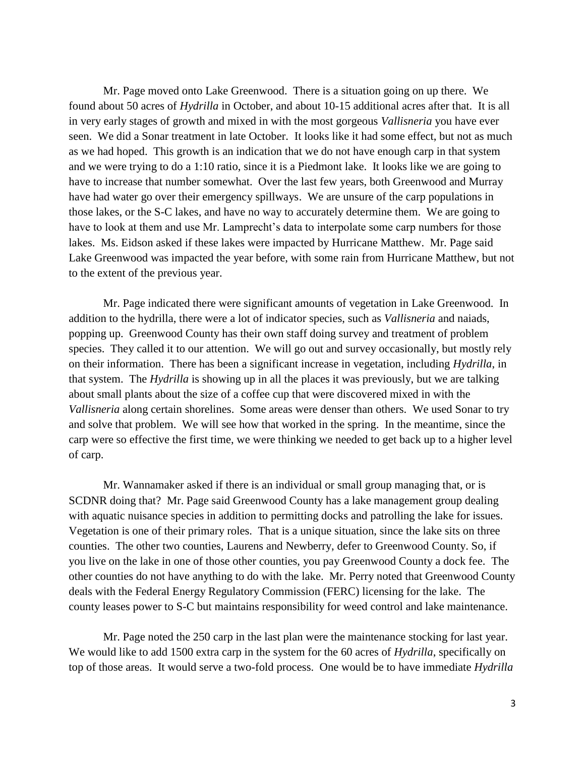Mr. Page moved onto Lake Greenwood. There is a situation going on up there. We found about 50 acres of *Hydrilla* in October, and about 10-15 additional acres after that. It is all in very early stages of growth and mixed in with the most gorgeous *Vallisneria* you have ever seen. We did a Sonar treatment in late October. It looks like it had some effect, but not as much as we had hoped. This growth is an indication that we do not have enough carp in that system and we were trying to do a 1:10 ratio, since it is a Piedmont lake. It looks like we are going to have to increase that number somewhat. Over the last few years, both Greenwood and Murray have had water go over their emergency spillways. We are unsure of the carp populations in those lakes, or the S-C lakes, and have no way to accurately determine them. We are going to have to look at them and use Mr. Lamprecht's data to interpolate some carp numbers for those lakes. Ms. Eidson asked if these lakes were impacted by Hurricane Matthew. Mr. Page said Lake Greenwood was impacted the year before, with some rain from Hurricane Matthew, but not to the extent of the previous year.

Mr. Page indicated there were significant amounts of vegetation in Lake Greenwood. In addition to the hydrilla, there were a lot of indicator species, such as *Vallisneria* and naiads, popping up. Greenwood County has their own staff doing survey and treatment of problem species. They called it to our attention. We will go out and survey occasionally, but mostly rely on their information. There has been a significant increase in vegetation, including *Hydrilla*, in that system. The *Hydrilla* is showing up in all the places it was previously, but we are talking about small plants about the size of a coffee cup that were discovered mixed in with the *Vallisneria* along certain shorelines. Some areas were denser than others. We used Sonar to try and solve that problem. We will see how that worked in the spring. In the meantime, since the carp were so effective the first time, we were thinking we needed to get back up to a higher level of carp.

Mr. Wannamaker asked if there is an individual or small group managing that, or is SCDNR doing that? Mr. Page said Greenwood County has a lake management group dealing with aquatic nuisance species in addition to permitting docks and patrolling the lake for issues. Vegetation is one of their primary roles. That is a unique situation, since the lake sits on three counties. The other two counties, Laurens and Newberry, defer to Greenwood County. So, if you live on the lake in one of those other counties, you pay Greenwood County a dock fee. The other counties do not have anything to do with the lake. Mr. Perry noted that Greenwood County deals with the Federal Energy Regulatory Commission (FERC) licensing for the lake. The county leases power to S-C but maintains responsibility for weed control and lake maintenance.

Mr. Page noted the 250 carp in the last plan were the maintenance stocking for last year. We would like to add 1500 extra carp in the system for the 60 acres of *Hydrilla*, specifically on top of those areas. It would serve a two-fold process. One would be to have immediate *Hydrilla*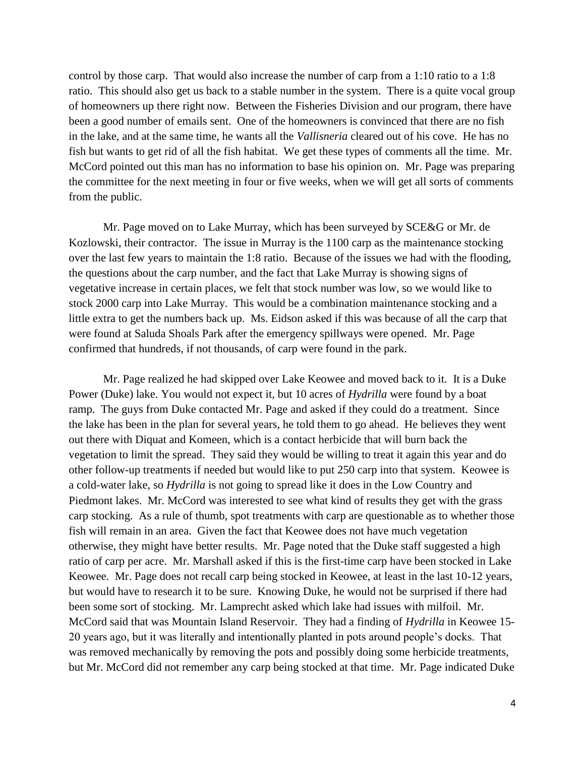control by those carp. That would also increase the number of carp from a 1:10 ratio to a 1:8 ratio. This should also get us back to a stable number in the system. There is a quite vocal group of homeowners up there right now. Between the Fisheries Division and our program, there have been a good number of emails sent. One of the homeowners is convinced that there are no fish in the lake, and at the same time, he wants all the *Vallisneria* cleared out of his cove. He has no fish but wants to get rid of all the fish habitat. We get these types of comments all the time. Mr. McCord pointed out this man has no information to base his opinion on. Mr. Page was preparing the committee for the next meeting in four or five weeks, when we will get all sorts of comments from the public.

Mr. Page moved on to Lake Murray, which has been surveyed by SCE&G or Mr. de Kozlowski, their contractor. The issue in Murray is the 1100 carp as the maintenance stocking over the last few years to maintain the 1:8 ratio. Because of the issues we had with the flooding, the questions about the carp number, and the fact that Lake Murray is showing signs of vegetative increase in certain places, we felt that stock number was low, so we would like to stock 2000 carp into Lake Murray. This would be a combination maintenance stocking and a little extra to get the numbers back up. Ms. Eidson asked if this was because of all the carp that were found at Saluda Shoals Park after the emergency spillways were opened. Mr. Page confirmed that hundreds, if not thousands, of carp were found in the park.

Mr. Page realized he had skipped over Lake Keowee and moved back to it. It is a Duke Power (Duke) lake. You would not expect it, but 10 acres of *Hydrilla* were found by a boat ramp. The guys from Duke contacted Mr. Page and asked if they could do a treatment. Since the lake has been in the plan for several years, he told them to go ahead. He believes they went out there with Diquat and Komeen, which is a contact herbicide that will burn back the vegetation to limit the spread. They said they would be willing to treat it again this year and do other follow-up treatments if needed but would like to put 250 carp into that system. Keowee is a cold-water lake, so *Hydrilla* is not going to spread like it does in the Low Country and Piedmont lakes. Mr. McCord was interested to see what kind of results they get with the grass carp stocking. As a rule of thumb, spot treatments with carp are questionable as to whether those fish will remain in an area. Given the fact that Keowee does not have much vegetation otherwise, they might have better results. Mr. Page noted that the Duke staff suggested a high ratio of carp per acre. Mr. Marshall asked if this is the first-time carp have been stocked in Lake Keowee. Mr. Page does not recall carp being stocked in Keowee, at least in the last 10-12 years, but would have to research it to be sure. Knowing Duke, he would not be surprised if there had been some sort of stocking. Mr. Lamprecht asked which lake had issues with milfoil. Mr. McCord said that was Mountain Island Reservoir. They had a finding of *Hydrilla* in Keowee 15- 20 years ago, but it was literally and intentionally planted in pots around people's docks. That was removed mechanically by removing the pots and possibly doing some herbicide treatments, but Mr. McCord did not remember any carp being stocked at that time. Mr. Page indicated Duke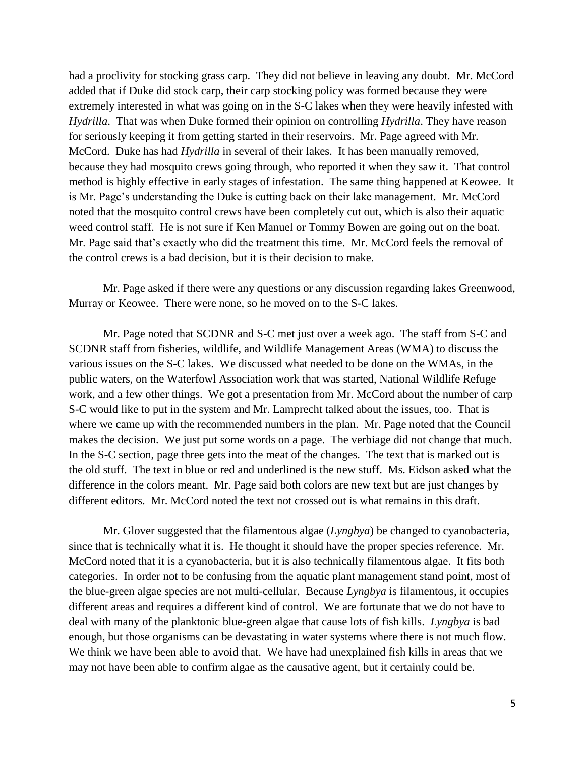had a proclivity for stocking grass carp. They did not believe in leaving any doubt. Mr. McCord added that if Duke did stock carp, their carp stocking policy was formed because they were extremely interested in what was going on in the S-C lakes when they were heavily infested with *Hydrilla*. That was when Duke formed their opinion on controlling *Hydrilla*. They have reason for seriously keeping it from getting started in their reservoirs. Mr. Page agreed with Mr. McCord. Duke has had *Hydrilla* in several of their lakes. It has been manually removed, because they had mosquito crews going through, who reported it when they saw it. That control method is highly effective in early stages of infestation. The same thing happened at Keowee. It is Mr. Page's understanding the Duke is cutting back on their lake management. Mr. McCord noted that the mosquito control crews have been completely cut out, which is also their aquatic weed control staff. He is not sure if Ken Manuel or Tommy Bowen are going out on the boat. Mr. Page said that's exactly who did the treatment this time. Mr. McCord feels the removal of the control crews is a bad decision, but it is their decision to make.

Mr. Page asked if there were any questions or any discussion regarding lakes Greenwood, Murray or Keowee. There were none, so he moved on to the S-C lakes.

Mr. Page noted that SCDNR and S-C met just over a week ago. The staff from S-C and SCDNR staff from fisheries, wildlife, and Wildlife Management Areas (WMA) to discuss the various issues on the S-C lakes. We discussed what needed to be done on the WMAs, in the public waters, on the Waterfowl Association work that was started, National Wildlife Refuge work, and a few other things. We got a presentation from Mr. McCord about the number of carp S-C would like to put in the system and Mr. Lamprecht talked about the issues, too. That is where we came up with the recommended numbers in the plan. Mr. Page noted that the Council makes the decision. We just put some words on a page. The verbiage did not change that much. In the S-C section, page three gets into the meat of the changes. The text that is marked out is the old stuff. The text in blue or red and underlined is the new stuff. Ms. Eidson asked what the difference in the colors meant. Mr. Page said both colors are new text but are just changes by different editors. Mr. McCord noted the text not crossed out is what remains in this draft.

Mr. Glover suggested that the filamentous algae (*Lyngbya*) be changed to cyanobacteria, since that is technically what it is. He thought it should have the proper species reference. Mr. McCord noted that it is a cyanobacteria, but it is also technically filamentous algae. It fits both categories. In order not to be confusing from the aquatic plant management stand point, most of the blue-green algae species are not multi-cellular. Because *Lyngbya* is filamentous, it occupies different areas and requires a different kind of control. We are fortunate that we do not have to deal with many of the planktonic blue-green algae that cause lots of fish kills. *Lyngbya* is bad enough, but those organisms can be devastating in water systems where there is not much flow. We think we have been able to avoid that. We have had unexplained fish kills in areas that we may not have been able to confirm algae as the causative agent, but it certainly could be.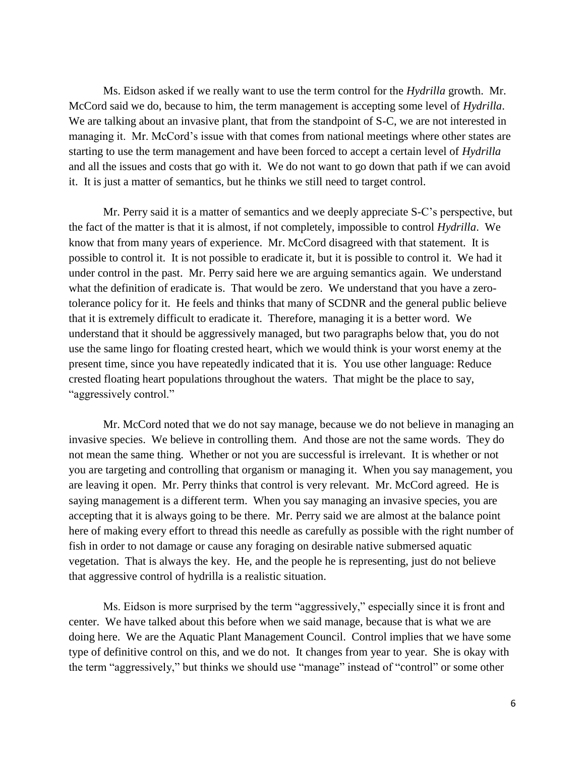Ms. Eidson asked if we really want to use the term control for the *Hydrilla* growth. Mr. McCord said we do, because to him, the term management is accepting some level of *Hydrilla*. We are talking about an invasive plant, that from the standpoint of S-C, we are not interested in managing it. Mr. McCord's issue with that comes from national meetings where other states are starting to use the term management and have been forced to accept a certain level of *Hydrilla* and all the issues and costs that go with it. We do not want to go down that path if we can avoid it. It is just a matter of semantics, but he thinks we still need to target control.

Mr. Perry said it is a matter of semantics and we deeply appreciate S-C's perspective, but the fact of the matter is that it is almost, if not completely, impossible to control *Hydrilla*. We know that from many years of experience. Mr. McCord disagreed with that statement. It is possible to control it. It is not possible to eradicate it, but it is possible to control it. We had it under control in the past. Mr. Perry said here we are arguing semantics again. We understand what the definition of eradicate is. That would be zero. We understand that you have a zerotolerance policy for it. He feels and thinks that many of SCDNR and the general public believe that it is extremely difficult to eradicate it. Therefore, managing it is a better word. We understand that it should be aggressively managed, but two paragraphs below that, you do not use the same lingo for floating crested heart, which we would think is your worst enemy at the present time, since you have repeatedly indicated that it is. You use other language: Reduce crested floating heart populations throughout the waters. That might be the place to say, "aggressively control."

Mr. McCord noted that we do not say manage, because we do not believe in managing an invasive species. We believe in controlling them. And those are not the same words. They do not mean the same thing. Whether or not you are successful is irrelevant. It is whether or not you are targeting and controlling that organism or managing it. When you say management, you are leaving it open. Mr. Perry thinks that control is very relevant. Mr. McCord agreed. He is saying management is a different term. When you say managing an invasive species, you are accepting that it is always going to be there. Mr. Perry said we are almost at the balance point here of making every effort to thread this needle as carefully as possible with the right number of fish in order to not damage or cause any foraging on desirable native submersed aquatic vegetation. That is always the key. He, and the people he is representing, just do not believe that aggressive control of hydrilla is a realistic situation.

Ms. Eidson is more surprised by the term "aggressively," especially since it is front and center. We have talked about this before when we said manage, because that is what we are doing here. We are the Aquatic Plant Management Council. Control implies that we have some type of definitive control on this, and we do not. It changes from year to year. She is okay with the term "aggressively," but thinks we should use "manage" instead of "control" or some other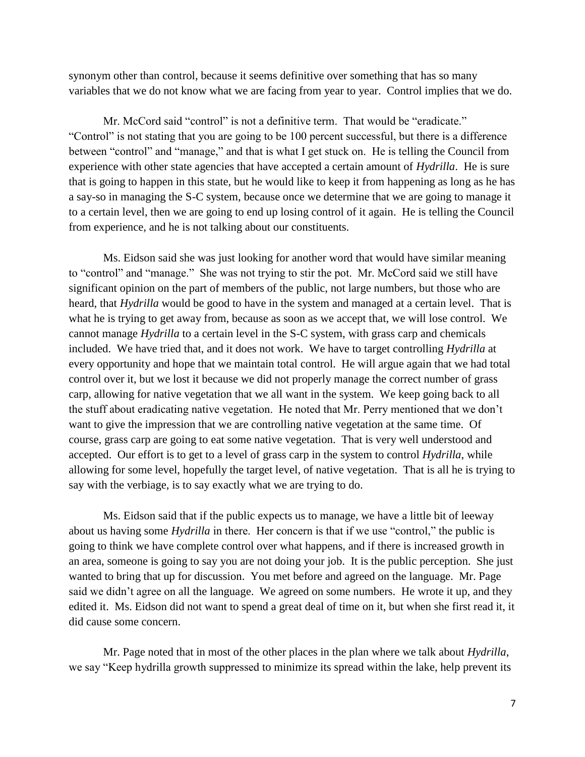synonym other than control, because it seems definitive over something that has so many variables that we do not know what we are facing from year to year. Control implies that we do.

Mr. McCord said "control" is not a definitive term. That would be "eradicate." "Control" is not stating that you are going to be 100 percent successful, but there is a difference between "control" and "manage," and that is what I get stuck on. He is telling the Council from experience with other state agencies that have accepted a certain amount of *Hydrilla*. He is sure that is going to happen in this state, but he would like to keep it from happening as long as he has a say-so in managing the S-C system, because once we determine that we are going to manage it to a certain level, then we are going to end up losing control of it again. He is telling the Council from experience, and he is not talking about our constituents.

Ms. Eidson said she was just looking for another word that would have similar meaning to "control" and "manage." She was not trying to stir the pot. Mr. McCord said we still have significant opinion on the part of members of the public, not large numbers, but those who are heard, that *Hydrilla* would be good to have in the system and managed at a certain level. That is what he is trying to get away from, because as soon as we accept that, we will lose control. We cannot manage *Hydrilla* to a certain level in the S-C system, with grass carp and chemicals included. We have tried that, and it does not work. We have to target controlling *Hydrilla* at every opportunity and hope that we maintain total control. He will argue again that we had total control over it, but we lost it because we did not properly manage the correct number of grass carp, allowing for native vegetation that we all want in the system. We keep going back to all the stuff about eradicating native vegetation. He noted that Mr. Perry mentioned that we don't want to give the impression that we are controlling native vegetation at the same time. Of course, grass carp are going to eat some native vegetation. That is very well understood and accepted. Our effort is to get to a level of grass carp in the system to control *Hydrilla*, while allowing for some level, hopefully the target level, of native vegetation. That is all he is trying to say with the verbiage, is to say exactly what we are trying to do.

Ms. Eidson said that if the public expects us to manage, we have a little bit of leeway about us having some *Hydrilla* in there. Her concern is that if we use "control," the public is going to think we have complete control over what happens, and if there is increased growth in an area, someone is going to say you are not doing your job. It is the public perception. She just wanted to bring that up for discussion. You met before and agreed on the language. Mr. Page said we didn't agree on all the language. We agreed on some numbers. He wrote it up, and they edited it. Ms. Eidson did not want to spend a great deal of time on it, but when she first read it, it did cause some concern.

Mr. Page noted that in most of the other places in the plan where we talk about *Hydrilla*, we say "Keep hydrilla growth suppressed to minimize its spread within the lake, help prevent its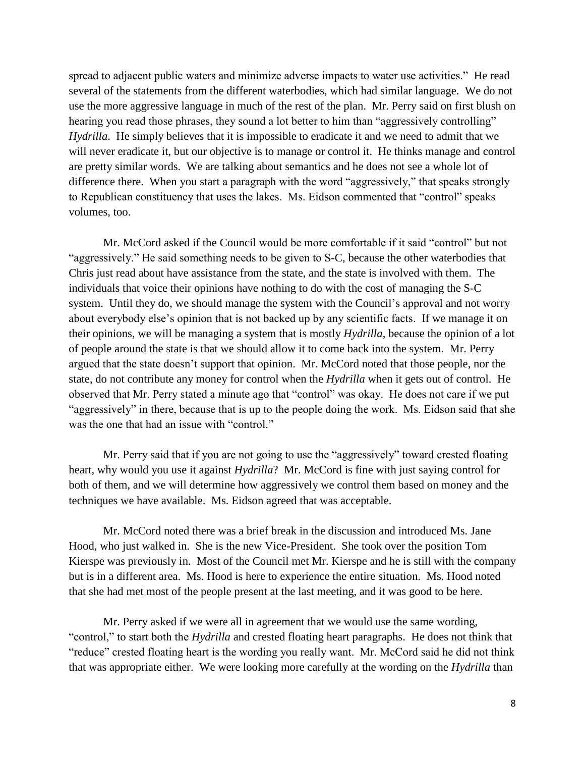spread to adjacent public waters and minimize adverse impacts to water use activities." He read several of the statements from the different waterbodies, which had similar language. We do not use the more aggressive language in much of the rest of the plan. Mr. Perry said on first blush on hearing you read those phrases, they sound a lot better to him than "aggressively controlling" *Hydrilla*. He simply believes that it is impossible to eradicate it and we need to admit that we will never eradicate it, but our objective is to manage or control it. He thinks manage and control are pretty similar words. We are talking about semantics and he does not see a whole lot of difference there. When you start a paragraph with the word "aggressively," that speaks strongly to Republican constituency that uses the lakes. Ms. Eidson commented that "control" speaks volumes, too.

Mr. McCord asked if the Council would be more comfortable if it said "control" but not "aggressively." He said something needs to be given to S-C, because the other waterbodies that Chris just read about have assistance from the state, and the state is involved with them. The individuals that voice their opinions have nothing to do with the cost of managing the S-C system. Until they do, we should manage the system with the Council's approval and not worry about everybody else's opinion that is not backed up by any scientific facts. If we manage it on their opinions, we will be managing a system that is mostly *Hydrilla*, because the opinion of a lot of people around the state is that we should allow it to come back into the system. Mr. Perry argued that the state doesn't support that opinion. Mr. McCord noted that those people, nor the state, do not contribute any money for control when the *Hydrilla* when it gets out of control. He observed that Mr. Perry stated a minute ago that "control" was okay. He does not care if we put "aggressively" in there, because that is up to the people doing the work. Ms. Eidson said that she was the one that had an issue with "control."

Mr. Perry said that if you are not going to use the "aggressively" toward crested floating heart, why would you use it against *Hydrilla*? Mr. McCord is fine with just saying control for both of them, and we will determine how aggressively we control them based on money and the techniques we have available. Ms. Eidson agreed that was acceptable.

Mr. McCord noted there was a brief break in the discussion and introduced Ms. Jane Hood, who just walked in. She is the new Vice-President. She took over the position Tom Kierspe was previously in. Most of the Council met Mr. Kierspe and he is still with the company but is in a different area. Ms. Hood is here to experience the entire situation. Ms. Hood noted that she had met most of the people present at the last meeting, and it was good to be here.

Mr. Perry asked if we were all in agreement that we would use the same wording, "control," to start both the *Hydrilla* and crested floating heart paragraphs. He does not think that "reduce" crested floating heart is the wording you really want. Mr. McCord said he did not think that was appropriate either. We were looking more carefully at the wording on the *Hydrilla* than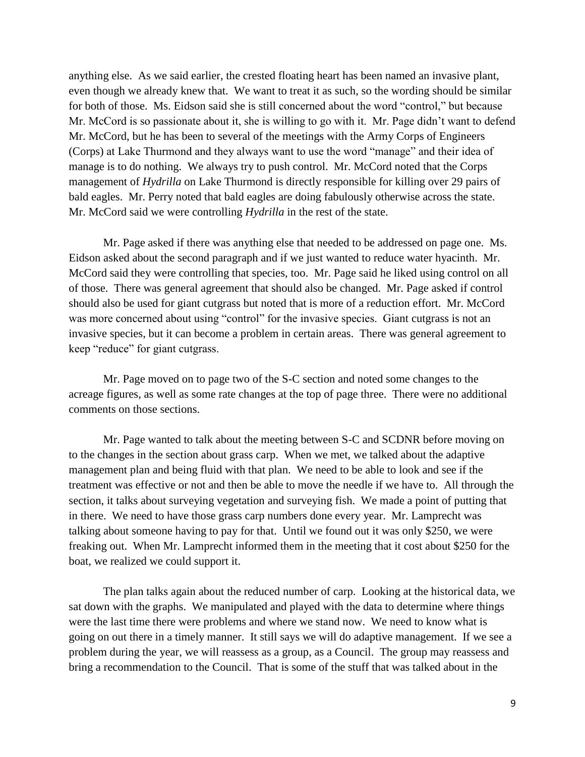anything else. As we said earlier, the crested floating heart has been named an invasive plant, even though we already knew that. We want to treat it as such, so the wording should be similar for both of those. Ms. Eidson said she is still concerned about the word "control," but because Mr. McCord is so passionate about it, she is willing to go with it. Mr. Page didn't want to defend Mr. McCord, but he has been to several of the meetings with the Army Corps of Engineers (Corps) at Lake Thurmond and they always want to use the word "manage" and their idea of manage is to do nothing. We always try to push control. Mr. McCord noted that the Corps management of *Hydrilla* on Lake Thurmond is directly responsible for killing over 29 pairs of bald eagles. Mr. Perry noted that bald eagles are doing fabulously otherwise across the state. Mr. McCord said we were controlling *Hydrilla* in the rest of the state.

Mr. Page asked if there was anything else that needed to be addressed on page one. Ms. Eidson asked about the second paragraph and if we just wanted to reduce water hyacinth. Mr. McCord said they were controlling that species, too. Mr. Page said he liked using control on all of those. There was general agreement that should also be changed. Mr. Page asked if control should also be used for giant cutgrass but noted that is more of a reduction effort. Mr. McCord was more concerned about using "control" for the invasive species. Giant cutgrass is not an invasive species, but it can become a problem in certain areas. There was general agreement to keep "reduce" for giant cutgrass.

Mr. Page moved on to page two of the S-C section and noted some changes to the acreage figures, as well as some rate changes at the top of page three. There were no additional comments on those sections.

Mr. Page wanted to talk about the meeting between S-C and SCDNR before moving on to the changes in the section about grass carp. When we met, we talked about the adaptive management plan and being fluid with that plan. We need to be able to look and see if the treatment was effective or not and then be able to move the needle if we have to. All through the section, it talks about surveying vegetation and surveying fish. We made a point of putting that in there. We need to have those grass carp numbers done every year. Mr. Lamprecht was talking about someone having to pay for that. Until we found out it was only \$250, we were freaking out. When Mr. Lamprecht informed them in the meeting that it cost about \$250 for the boat, we realized we could support it.

The plan talks again about the reduced number of carp. Looking at the historical data, we sat down with the graphs. We manipulated and played with the data to determine where things were the last time there were problems and where we stand now. We need to know what is going on out there in a timely manner. It still says we will do adaptive management. If we see a problem during the year, we will reassess as a group, as a Council. The group may reassess and bring a recommendation to the Council. That is some of the stuff that was talked about in the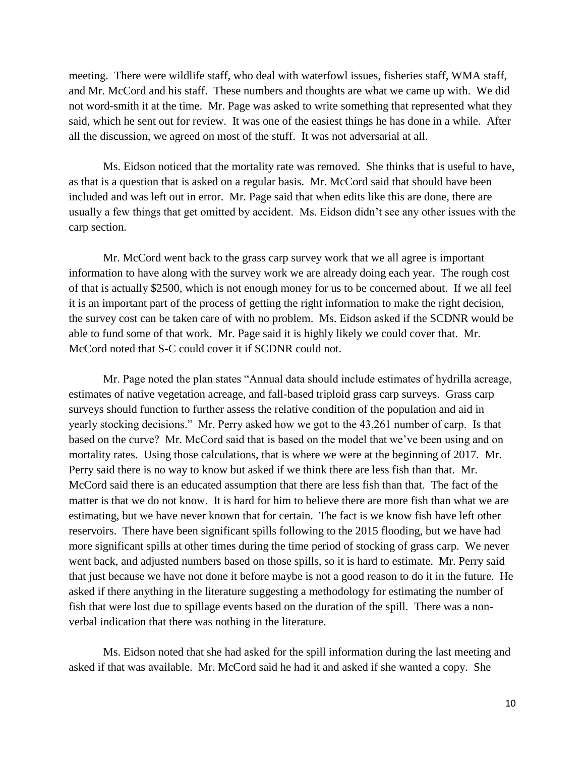meeting. There were wildlife staff, who deal with waterfowl issues, fisheries staff, WMA staff, and Mr. McCord and his staff. These numbers and thoughts are what we came up with. We did not word-smith it at the time. Mr. Page was asked to write something that represented what they said, which he sent out for review. It was one of the easiest things he has done in a while. After all the discussion, we agreed on most of the stuff. It was not adversarial at all.

Ms. Eidson noticed that the mortality rate was removed. She thinks that is useful to have, as that is a question that is asked on a regular basis. Mr. McCord said that should have been included and was left out in error. Mr. Page said that when edits like this are done, there are usually a few things that get omitted by accident. Ms. Eidson didn't see any other issues with the carp section.

Mr. McCord went back to the grass carp survey work that we all agree is important information to have along with the survey work we are already doing each year. The rough cost of that is actually \$2500, which is not enough money for us to be concerned about. If we all feel it is an important part of the process of getting the right information to make the right decision, the survey cost can be taken care of with no problem. Ms. Eidson asked if the SCDNR would be able to fund some of that work. Mr. Page said it is highly likely we could cover that. Mr. McCord noted that S-C could cover it if SCDNR could not.

Mr. Page noted the plan states "Annual data should include estimates of hydrilla acreage, estimates of native vegetation acreage, and fall-based triploid grass carp surveys. Grass carp surveys should function to further assess the relative condition of the population and aid in yearly stocking decisions." Mr. Perry asked how we got to the 43,261 number of carp. Is that based on the curve? Mr. McCord said that is based on the model that we've been using and on mortality rates. Using those calculations, that is where we were at the beginning of 2017. Mr. Perry said there is no way to know but asked if we think there are less fish than that. Mr. McCord said there is an educated assumption that there are less fish than that. The fact of the matter is that we do not know. It is hard for him to believe there are more fish than what we are estimating, but we have never known that for certain. The fact is we know fish have left other reservoirs. There have been significant spills following to the 2015 flooding, but we have had more significant spills at other times during the time period of stocking of grass carp. We never went back, and adjusted numbers based on those spills, so it is hard to estimate. Mr. Perry said that just because we have not done it before maybe is not a good reason to do it in the future. He asked if there anything in the literature suggesting a methodology for estimating the number of fish that were lost due to spillage events based on the duration of the spill. There was a nonverbal indication that there was nothing in the literature.

Ms. Eidson noted that she had asked for the spill information during the last meeting and asked if that was available. Mr. McCord said he had it and asked if she wanted a copy. She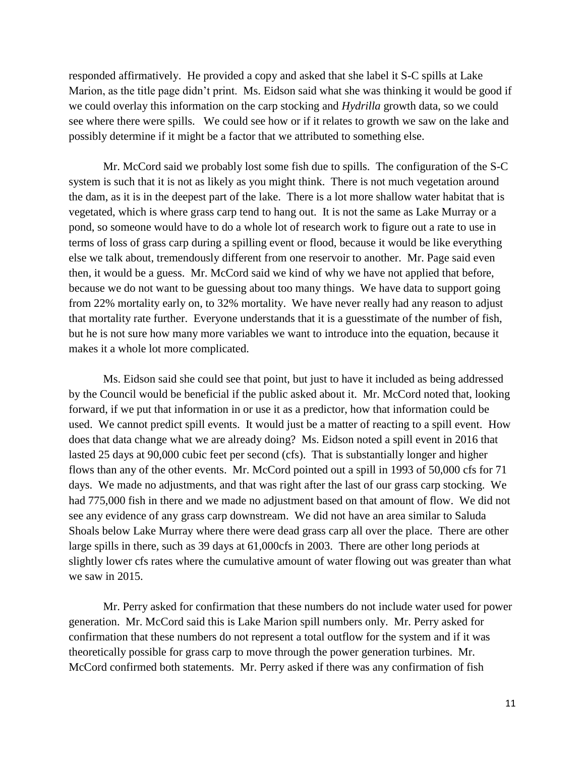responded affirmatively. He provided a copy and asked that she label it S-C spills at Lake Marion, as the title page didn't print. Ms. Eidson said what she was thinking it would be good if we could overlay this information on the carp stocking and *Hydrilla* growth data, so we could see where there were spills. We could see how or if it relates to growth we saw on the lake and possibly determine if it might be a factor that we attributed to something else.

Mr. McCord said we probably lost some fish due to spills. The configuration of the S-C system is such that it is not as likely as you might think. There is not much vegetation around the dam, as it is in the deepest part of the lake. There is a lot more shallow water habitat that is vegetated, which is where grass carp tend to hang out. It is not the same as Lake Murray or a pond, so someone would have to do a whole lot of research work to figure out a rate to use in terms of loss of grass carp during a spilling event or flood, because it would be like everything else we talk about, tremendously different from one reservoir to another. Mr. Page said even then, it would be a guess. Mr. McCord said we kind of why we have not applied that before, because we do not want to be guessing about too many things. We have data to support going from 22% mortality early on, to 32% mortality. We have never really had any reason to adjust that mortality rate further. Everyone understands that it is a guesstimate of the number of fish, but he is not sure how many more variables we want to introduce into the equation, because it makes it a whole lot more complicated.

Ms. Eidson said she could see that point, but just to have it included as being addressed by the Council would be beneficial if the public asked about it. Mr. McCord noted that, looking forward, if we put that information in or use it as a predictor, how that information could be used. We cannot predict spill events. It would just be a matter of reacting to a spill event. How does that data change what we are already doing? Ms. Eidson noted a spill event in 2016 that lasted 25 days at 90,000 cubic feet per second (cfs). That is substantially longer and higher flows than any of the other events. Mr. McCord pointed out a spill in 1993 of 50,000 cfs for 71 days. We made no adjustments, and that was right after the last of our grass carp stocking. We had 775,000 fish in there and we made no adjustment based on that amount of flow. We did not see any evidence of any grass carp downstream. We did not have an area similar to Saluda Shoals below Lake Murray where there were dead grass carp all over the place. There are other large spills in there, such as 39 days at 61,000cfs in 2003. There are other long periods at slightly lower cfs rates where the cumulative amount of water flowing out was greater than what we saw in 2015.

Mr. Perry asked for confirmation that these numbers do not include water used for power generation. Mr. McCord said this is Lake Marion spill numbers only. Mr. Perry asked for confirmation that these numbers do not represent a total outflow for the system and if it was theoretically possible for grass carp to move through the power generation turbines. Mr. McCord confirmed both statements. Mr. Perry asked if there was any confirmation of fish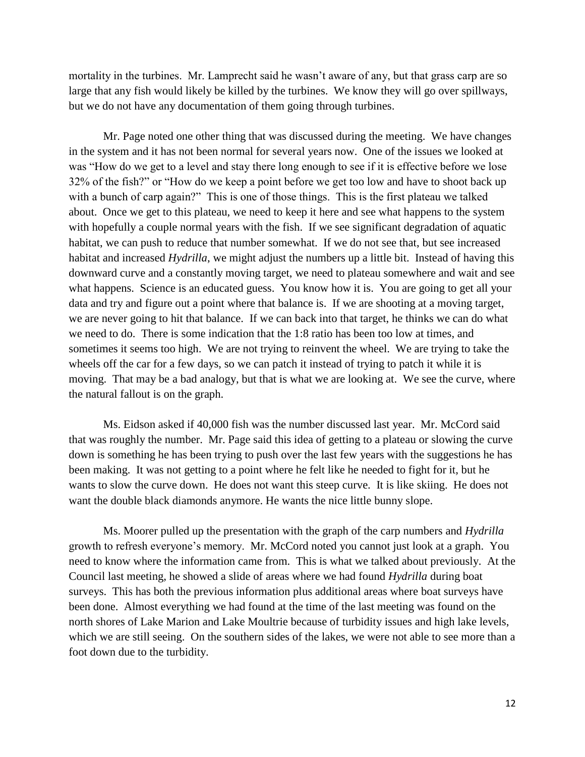mortality in the turbines. Mr. Lamprecht said he wasn't aware of any, but that grass carp are so large that any fish would likely be killed by the turbines. We know they will go over spillways, but we do not have any documentation of them going through turbines.

Mr. Page noted one other thing that was discussed during the meeting. We have changes in the system and it has not been normal for several years now. One of the issues we looked at was "How do we get to a level and stay there long enough to see if it is effective before we lose 32% of the fish?" or "How do we keep a point before we get too low and have to shoot back up with a bunch of carp again?" This is one of those things. This is the first plateau we talked about. Once we get to this plateau, we need to keep it here and see what happens to the system with hopefully a couple normal years with the fish. If we see significant degradation of aquatic habitat, we can push to reduce that number somewhat. If we do not see that, but see increased habitat and increased *Hydrilla*, we might adjust the numbers up a little bit. Instead of having this downward curve and a constantly moving target, we need to plateau somewhere and wait and see what happens. Science is an educated guess. You know how it is. You are going to get all your data and try and figure out a point where that balance is. If we are shooting at a moving target, we are never going to hit that balance. If we can back into that target, he thinks we can do what we need to do. There is some indication that the 1:8 ratio has been too low at times, and sometimes it seems too high. We are not trying to reinvent the wheel. We are trying to take the wheels off the car for a few days, so we can patch it instead of trying to patch it while it is moving. That may be a bad analogy, but that is what we are looking at. We see the curve, where the natural fallout is on the graph.

Ms. Eidson asked if 40,000 fish was the number discussed last year. Mr. McCord said that was roughly the number. Mr. Page said this idea of getting to a plateau or slowing the curve down is something he has been trying to push over the last few years with the suggestions he has been making. It was not getting to a point where he felt like he needed to fight for it, but he wants to slow the curve down. He does not want this steep curve. It is like skiing. He does not want the double black diamonds anymore. He wants the nice little bunny slope.

Ms. Moorer pulled up the presentation with the graph of the carp numbers and *Hydrilla* growth to refresh everyone's memory. Mr. McCord noted you cannot just look at a graph. You need to know where the information came from. This is what we talked about previously. At the Council last meeting, he showed a slide of areas where we had found *Hydrilla* during boat surveys. This has both the previous information plus additional areas where boat surveys have been done. Almost everything we had found at the time of the last meeting was found on the north shores of Lake Marion and Lake Moultrie because of turbidity issues and high lake levels, which we are still seeing. On the southern sides of the lakes, we were not able to see more than a foot down due to the turbidity.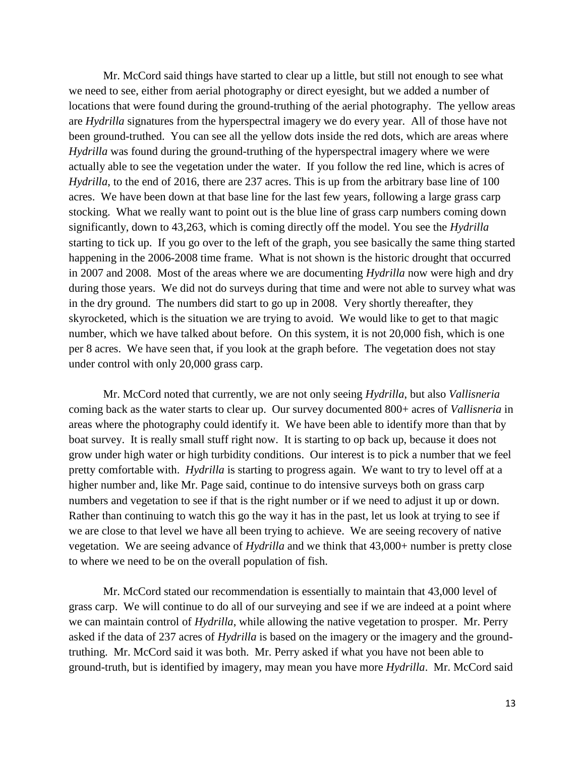Mr. McCord said things have started to clear up a little, but still not enough to see what we need to see, either from aerial photography or direct eyesight, but we added a number of locations that were found during the ground-truthing of the aerial photography. The yellow areas are *Hydrilla* signatures from the hyperspectral imagery we do every year. All of those have not been ground-truthed. You can see all the yellow dots inside the red dots, which are areas where *Hydrilla* was found during the ground-truthing of the hyperspectral imagery where we were actually able to see the vegetation under the water. If you follow the red line, which is acres of *Hydrilla*, to the end of 2016, there are 237 acres. This is up from the arbitrary base line of 100 acres. We have been down at that base line for the last few years, following a large grass carp stocking. What we really want to point out is the blue line of grass carp numbers coming down significantly, down to 43,263, which is coming directly off the model. You see the *Hydrilla* starting to tick up. If you go over to the left of the graph, you see basically the same thing started happening in the 2006-2008 time frame. What is not shown is the historic drought that occurred in 2007 and 2008. Most of the areas where we are documenting *Hydrilla* now were high and dry during those years. We did not do surveys during that time and were not able to survey what was in the dry ground. The numbers did start to go up in 2008. Very shortly thereafter, they skyrocketed, which is the situation we are trying to avoid. We would like to get to that magic number, which we have talked about before. On this system, it is not 20,000 fish, which is one per 8 acres. We have seen that, if you look at the graph before. The vegetation does not stay under control with only 20,000 grass carp.

Mr. McCord noted that currently, we are not only seeing *Hydrilla*, but also *Vallisneria* coming back as the water starts to clear up. Our survey documented 800+ acres of *Vallisneria* in areas where the photography could identify it. We have been able to identify more than that by boat survey. It is really small stuff right now. It is starting to op back up, because it does not grow under high water or high turbidity conditions. Our interest is to pick a number that we feel pretty comfortable with. *Hydrilla* is starting to progress again. We want to try to level off at a higher number and, like Mr. Page said, continue to do intensive surveys both on grass carp numbers and vegetation to see if that is the right number or if we need to adjust it up or down. Rather than continuing to watch this go the way it has in the past, let us look at trying to see if we are close to that level we have all been trying to achieve. We are seeing recovery of native vegetation. We are seeing advance of *Hydrilla* and we think that 43,000+ number is pretty close to where we need to be on the overall population of fish.

Mr. McCord stated our recommendation is essentially to maintain that 43,000 level of grass carp. We will continue to do all of our surveying and see if we are indeed at a point where we can maintain control of *Hydrilla*, while allowing the native vegetation to prosper. Mr. Perry asked if the data of 237 acres of *Hydrilla* is based on the imagery or the imagery and the groundtruthing. Mr. McCord said it was both. Mr. Perry asked if what you have not been able to ground-truth, but is identified by imagery, may mean you have more *Hydrilla*. Mr. McCord said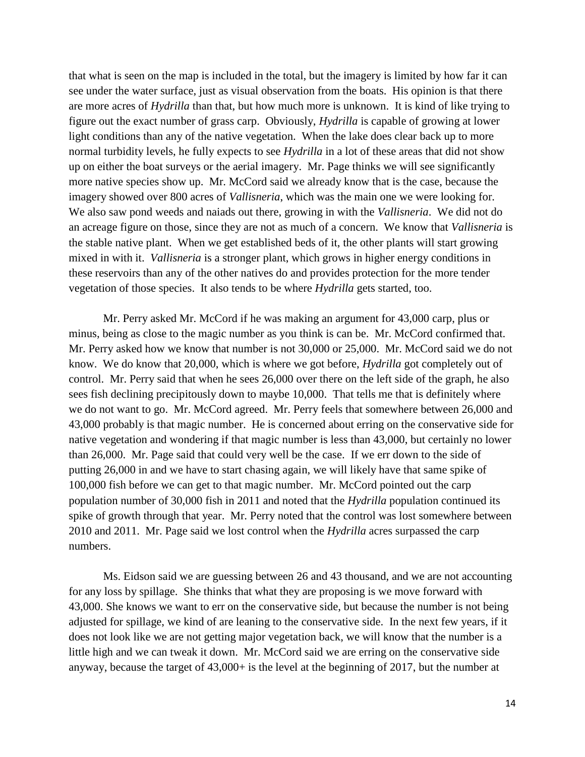that what is seen on the map is included in the total, but the imagery is limited by how far it can see under the water surface, just as visual observation from the boats. His opinion is that there are more acres of *Hydrilla* than that, but how much more is unknown. It is kind of like trying to figure out the exact number of grass carp. Obviously, *Hydrilla* is capable of growing at lower light conditions than any of the native vegetation. When the lake does clear back up to more normal turbidity levels, he fully expects to see *Hydrilla* in a lot of these areas that did not show up on either the boat surveys or the aerial imagery. Mr. Page thinks we will see significantly more native species show up. Mr. McCord said we already know that is the case, because the imagery showed over 800 acres of *Vallisneria*, which was the main one we were looking for. We also saw pond weeds and naiads out there, growing in with the *Vallisneria*. We did not do an acreage figure on those, since they are not as much of a concern. We know that *Vallisneria* is the stable native plant. When we get established beds of it, the other plants will start growing mixed in with it. *Vallisneria* is a stronger plant, which grows in higher energy conditions in these reservoirs than any of the other natives do and provides protection for the more tender vegetation of those species. It also tends to be where *Hydrilla* gets started, too.

Mr. Perry asked Mr. McCord if he was making an argument for 43,000 carp, plus or minus, being as close to the magic number as you think is can be. Mr. McCord confirmed that. Mr. Perry asked how we know that number is not 30,000 or 25,000. Mr. McCord said we do not know. We do know that 20,000, which is where we got before, *Hydrilla* got completely out of control. Mr. Perry said that when he sees 26,000 over there on the left side of the graph, he also sees fish declining precipitously down to maybe 10,000. That tells me that is definitely where we do not want to go. Mr. McCord agreed. Mr. Perry feels that somewhere between 26,000 and 43,000 probably is that magic number. He is concerned about erring on the conservative side for native vegetation and wondering if that magic number is less than 43,000, but certainly no lower than 26,000. Mr. Page said that could very well be the case. If we err down to the side of putting 26,000 in and we have to start chasing again, we will likely have that same spike of 100,000 fish before we can get to that magic number. Mr. McCord pointed out the carp population number of 30,000 fish in 2011 and noted that the *Hydrilla* population continued its spike of growth through that year. Mr. Perry noted that the control was lost somewhere between 2010 and 2011. Mr. Page said we lost control when the *Hydrilla* acres surpassed the carp numbers.

Ms. Eidson said we are guessing between 26 and 43 thousand, and we are not accounting for any loss by spillage. She thinks that what they are proposing is we move forward with 43,000. She knows we want to err on the conservative side, but because the number is not being adjusted for spillage, we kind of are leaning to the conservative side. In the next few years, if it does not look like we are not getting major vegetation back, we will know that the number is a little high and we can tweak it down. Mr. McCord said we are erring on the conservative side anyway, because the target of 43,000+ is the level at the beginning of 2017, but the number at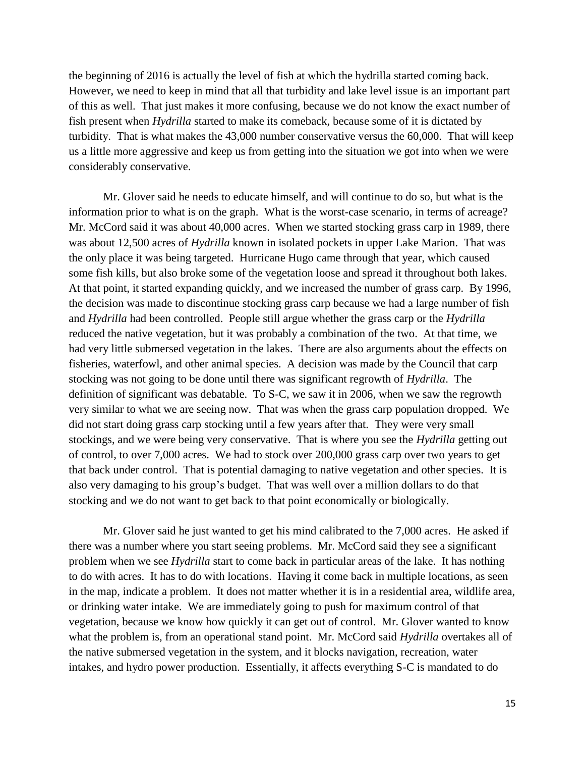the beginning of 2016 is actually the level of fish at which the hydrilla started coming back. However, we need to keep in mind that all that turbidity and lake level issue is an important part of this as well. That just makes it more confusing, because we do not know the exact number of fish present when *Hydrilla* started to make its comeback, because some of it is dictated by turbidity. That is what makes the 43,000 number conservative versus the 60,000. That will keep us a little more aggressive and keep us from getting into the situation we got into when we were considerably conservative.

Mr. Glover said he needs to educate himself, and will continue to do so, but what is the information prior to what is on the graph. What is the worst-case scenario, in terms of acreage? Mr. McCord said it was about 40,000 acres. When we started stocking grass carp in 1989, there was about 12,500 acres of *Hydrilla* known in isolated pockets in upper Lake Marion. That was the only place it was being targeted. Hurricane Hugo came through that year, which caused some fish kills, but also broke some of the vegetation loose and spread it throughout both lakes. At that point, it started expanding quickly, and we increased the number of grass carp. By 1996, the decision was made to discontinue stocking grass carp because we had a large number of fish and *Hydrilla* had been controlled. People still argue whether the grass carp or the *Hydrilla* reduced the native vegetation, but it was probably a combination of the two. At that time, we had very little submersed vegetation in the lakes. There are also arguments about the effects on fisheries, waterfowl, and other animal species. A decision was made by the Council that carp stocking was not going to be done until there was significant regrowth of *Hydrilla*. The definition of significant was debatable. To S-C, we saw it in 2006, when we saw the regrowth very similar to what we are seeing now. That was when the grass carp population dropped. We did not start doing grass carp stocking until a few years after that. They were very small stockings, and we were being very conservative. That is where you see the *Hydrilla* getting out of control, to over 7,000 acres. We had to stock over 200,000 grass carp over two years to get that back under control. That is potential damaging to native vegetation and other species. It is also very damaging to his group's budget. That was well over a million dollars to do that stocking and we do not want to get back to that point economically or biologically.

Mr. Glover said he just wanted to get his mind calibrated to the 7,000 acres. He asked if there was a number where you start seeing problems. Mr. McCord said they see a significant problem when we see *Hydrilla* start to come back in particular areas of the lake. It has nothing to do with acres. It has to do with locations. Having it come back in multiple locations, as seen in the map, indicate a problem. It does not matter whether it is in a residential area, wildlife area, or drinking water intake. We are immediately going to push for maximum control of that vegetation, because we know how quickly it can get out of control. Mr. Glover wanted to know what the problem is, from an operational stand point. Mr. McCord said *Hydrilla* overtakes all of the native submersed vegetation in the system, and it blocks navigation, recreation, water intakes, and hydro power production. Essentially, it affects everything S-C is mandated to do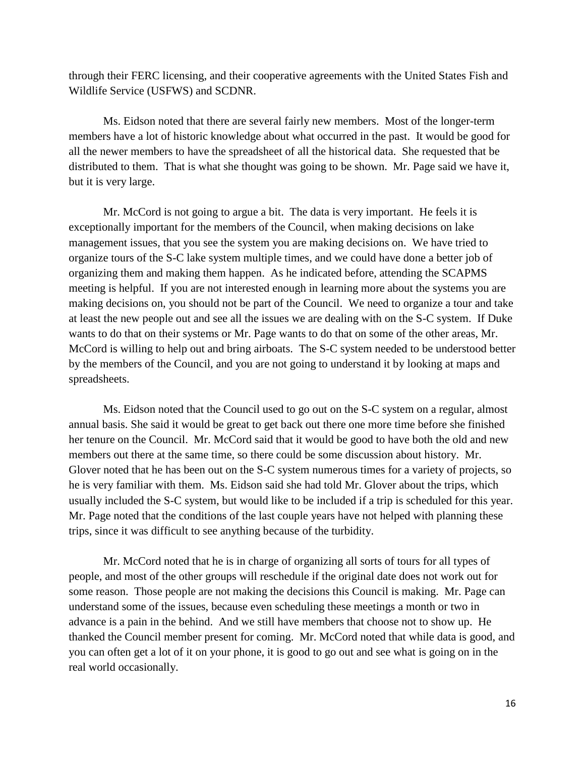through their FERC licensing, and their cooperative agreements with the United States Fish and Wildlife Service (USFWS) and SCDNR.

Ms. Eidson noted that there are several fairly new members. Most of the longer-term members have a lot of historic knowledge about what occurred in the past. It would be good for all the newer members to have the spreadsheet of all the historical data. She requested that be distributed to them. That is what she thought was going to be shown. Mr. Page said we have it, but it is very large.

Mr. McCord is not going to argue a bit. The data is very important. He feels it is exceptionally important for the members of the Council, when making decisions on lake management issues, that you see the system you are making decisions on. We have tried to organize tours of the S-C lake system multiple times, and we could have done a better job of organizing them and making them happen. As he indicated before, attending the SCAPMS meeting is helpful. If you are not interested enough in learning more about the systems you are making decisions on, you should not be part of the Council. We need to organize a tour and take at least the new people out and see all the issues we are dealing with on the S-C system. If Duke wants to do that on their systems or Mr. Page wants to do that on some of the other areas, Mr. McCord is willing to help out and bring airboats. The S-C system needed to be understood better by the members of the Council, and you are not going to understand it by looking at maps and spreadsheets.

Ms. Eidson noted that the Council used to go out on the S-C system on a regular, almost annual basis. She said it would be great to get back out there one more time before she finished her tenure on the Council. Mr. McCord said that it would be good to have both the old and new members out there at the same time, so there could be some discussion about history. Mr. Glover noted that he has been out on the S-C system numerous times for a variety of projects, so he is very familiar with them. Ms. Eidson said she had told Mr. Glover about the trips, which usually included the S-C system, but would like to be included if a trip is scheduled for this year. Mr. Page noted that the conditions of the last couple years have not helped with planning these trips, since it was difficult to see anything because of the turbidity.

Mr. McCord noted that he is in charge of organizing all sorts of tours for all types of people, and most of the other groups will reschedule if the original date does not work out for some reason. Those people are not making the decisions this Council is making. Mr. Page can understand some of the issues, because even scheduling these meetings a month or two in advance is a pain in the behind. And we still have members that choose not to show up. He thanked the Council member present for coming. Mr. McCord noted that while data is good, and you can often get a lot of it on your phone, it is good to go out and see what is going on in the real world occasionally.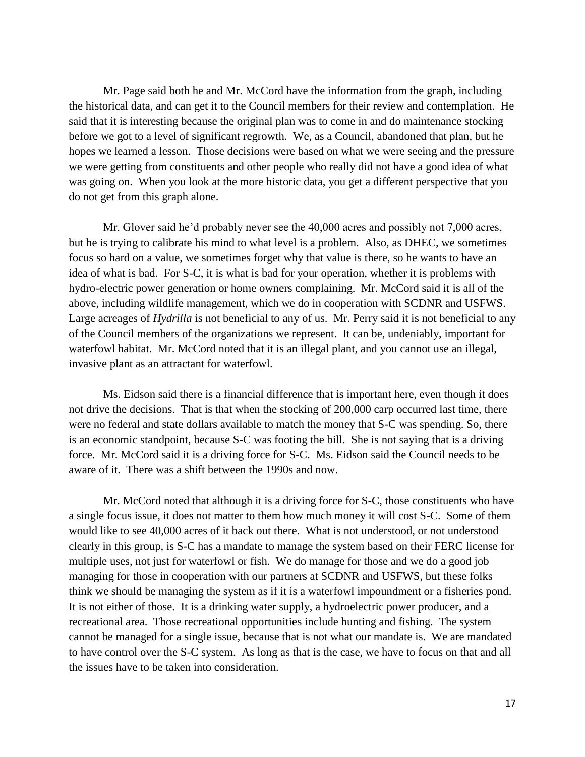Mr. Page said both he and Mr. McCord have the information from the graph, including the historical data, and can get it to the Council members for their review and contemplation. He said that it is interesting because the original plan was to come in and do maintenance stocking before we got to a level of significant regrowth. We, as a Council, abandoned that plan, but he hopes we learned a lesson. Those decisions were based on what we were seeing and the pressure we were getting from constituents and other people who really did not have a good idea of what was going on. When you look at the more historic data, you get a different perspective that you do not get from this graph alone.

Mr. Glover said he'd probably never see the 40,000 acres and possibly not 7,000 acres, but he is trying to calibrate his mind to what level is a problem. Also, as DHEC, we sometimes focus so hard on a value, we sometimes forget why that value is there, so he wants to have an idea of what is bad. For S-C, it is what is bad for your operation, whether it is problems with hydro-electric power generation or home owners complaining. Mr. McCord said it is all of the above, including wildlife management, which we do in cooperation with SCDNR and USFWS. Large acreages of *Hydrilla* is not beneficial to any of us. Mr. Perry said it is not beneficial to any of the Council members of the organizations we represent. It can be, undeniably, important for waterfowl habitat. Mr. McCord noted that it is an illegal plant, and you cannot use an illegal, invasive plant as an attractant for waterfowl.

Ms. Eidson said there is a financial difference that is important here, even though it does not drive the decisions. That is that when the stocking of 200,000 carp occurred last time, there were no federal and state dollars available to match the money that S-C was spending. So, there is an economic standpoint, because S-C was footing the bill. She is not saying that is a driving force. Mr. McCord said it is a driving force for S-C. Ms. Eidson said the Council needs to be aware of it. There was a shift between the 1990s and now.

Mr. McCord noted that although it is a driving force for S-C, those constituents who have a single focus issue, it does not matter to them how much money it will cost S-C. Some of them would like to see 40,000 acres of it back out there. What is not understood, or not understood clearly in this group, is S-C has a mandate to manage the system based on their FERC license for multiple uses, not just for waterfowl or fish. We do manage for those and we do a good job managing for those in cooperation with our partners at SCDNR and USFWS, but these folks think we should be managing the system as if it is a waterfowl impoundment or a fisheries pond. It is not either of those. It is a drinking water supply, a hydroelectric power producer, and a recreational area. Those recreational opportunities include hunting and fishing. The system cannot be managed for a single issue, because that is not what our mandate is. We are mandated to have control over the S-C system. As long as that is the case, we have to focus on that and all the issues have to be taken into consideration.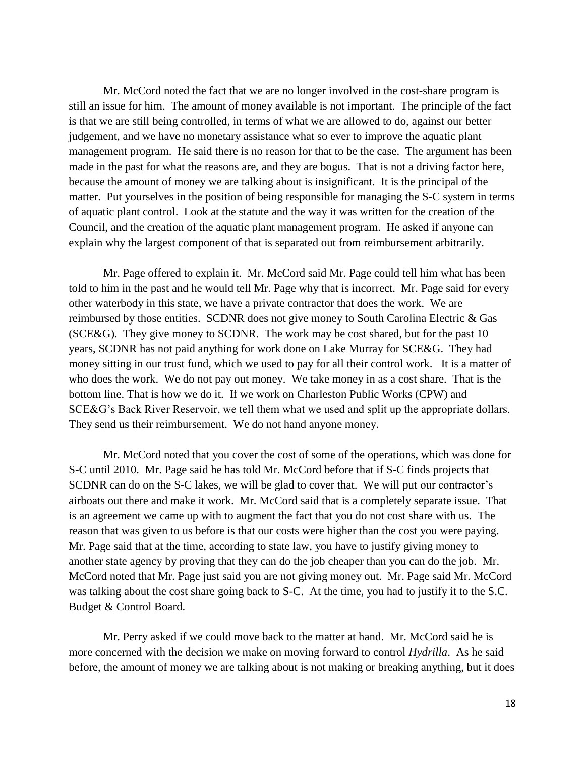Mr. McCord noted the fact that we are no longer involved in the cost-share program is still an issue for him. The amount of money available is not important. The principle of the fact is that we are still being controlled, in terms of what we are allowed to do, against our better judgement, and we have no monetary assistance what so ever to improve the aquatic plant management program. He said there is no reason for that to be the case. The argument has been made in the past for what the reasons are, and they are bogus. That is not a driving factor here, because the amount of money we are talking about is insignificant. It is the principal of the matter. Put yourselves in the position of being responsible for managing the S-C system in terms of aquatic plant control. Look at the statute and the way it was written for the creation of the Council, and the creation of the aquatic plant management program. He asked if anyone can explain why the largest component of that is separated out from reimbursement arbitrarily.

Mr. Page offered to explain it. Mr. McCord said Mr. Page could tell him what has been told to him in the past and he would tell Mr. Page why that is incorrect. Mr. Page said for every other waterbody in this state, we have a private contractor that does the work. We are reimbursed by those entities. SCDNR does not give money to South Carolina Electric & Gas (SCE&G). They give money to SCDNR. The work may be cost shared, but for the past 10 years, SCDNR has not paid anything for work done on Lake Murray for SCE&G. They had money sitting in our trust fund, which we used to pay for all their control work. It is a matter of who does the work. We do not pay out money. We take money in as a cost share. That is the bottom line. That is how we do it. If we work on Charleston Public Works (CPW) and SCE&G's Back River Reservoir, we tell them what we used and split up the appropriate dollars. They send us their reimbursement. We do not hand anyone money.

Mr. McCord noted that you cover the cost of some of the operations, which was done for S-C until 2010. Mr. Page said he has told Mr. McCord before that if S-C finds projects that SCDNR can do on the S-C lakes, we will be glad to cover that. We will put our contractor's airboats out there and make it work. Mr. McCord said that is a completely separate issue. That is an agreement we came up with to augment the fact that you do not cost share with us. The reason that was given to us before is that our costs were higher than the cost you were paying. Mr. Page said that at the time, according to state law, you have to justify giving money to another state agency by proving that they can do the job cheaper than you can do the job. Mr. McCord noted that Mr. Page just said you are not giving money out. Mr. Page said Mr. McCord was talking about the cost share going back to S-C. At the time, you had to justify it to the S.C. Budget & Control Board.

Mr. Perry asked if we could move back to the matter at hand. Mr. McCord said he is more concerned with the decision we make on moving forward to control *Hydrilla*. As he said before, the amount of money we are talking about is not making or breaking anything, but it does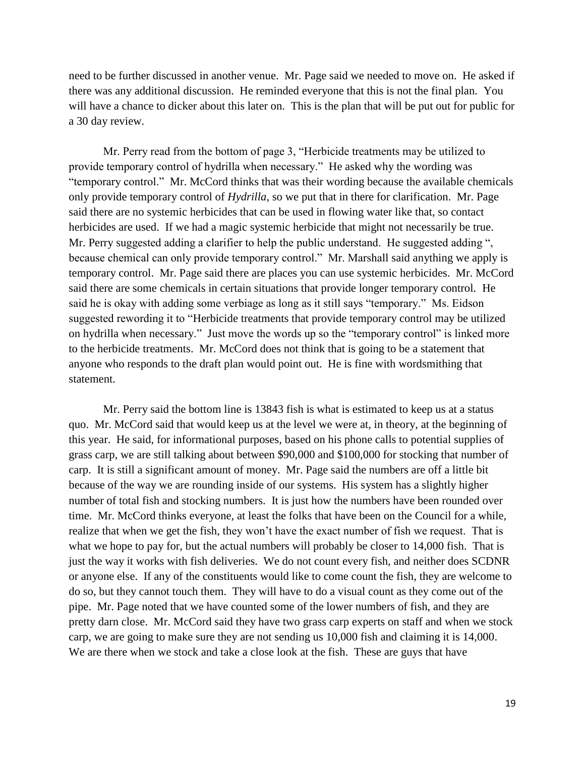need to be further discussed in another venue. Mr. Page said we needed to move on. He asked if there was any additional discussion. He reminded everyone that this is not the final plan. You will have a chance to dicker about this later on. This is the plan that will be put out for public for a 30 day review.

Mr. Perry read from the bottom of page 3, "Herbicide treatments may be utilized to provide temporary control of hydrilla when necessary." He asked why the wording was "temporary control." Mr. McCord thinks that was their wording because the available chemicals only provide temporary control of *Hydrilla*, so we put that in there for clarification. Mr. Page said there are no systemic herbicides that can be used in flowing water like that, so contact herbicides are used. If we had a magic systemic herbicide that might not necessarily be true. Mr. Perry suggested adding a clarifier to help the public understand. He suggested adding ", because chemical can only provide temporary control." Mr. Marshall said anything we apply is temporary control. Mr. Page said there are places you can use systemic herbicides. Mr. McCord said there are some chemicals in certain situations that provide longer temporary control. He said he is okay with adding some verbiage as long as it still says "temporary." Ms. Eidson suggested rewording it to "Herbicide treatments that provide temporary control may be utilized on hydrilla when necessary." Just move the words up so the "temporary control" is linked more to the herbicide treatments. Mr. McCord does not think that is going to be a statement that anyone who responds to the draft plan would point out. He is fine with wordsmithing that statement.

Mr. Perry said the bottom line is 13843 fish is what is estimated to keep us at a status quo. Mr. McCord said that would keep us at the level we were at, in theory, at the beginning of this year. He said, for informational purposes, based on his phone calls to potential supplies of grass carp, we are still talking about between \$90,000 and \$100,000 for stocking that number of carp. It is still a significant amount of money. Mr. Page said the numbers are off a little bit because of the way we are rounding inside of our systems. His system has a slightly higher number of total fish and stocking numbers. It is just how the numbers have been rounded over time. Mr. McCord thinks everyone, at least the folks that have been on the Council for a while, realize that when we get the fish, they won't have the exact number of fish we request. That is what we hope to pay for, but the actual numbers will probably be closer to 14,000 fish. That is just the way it works with fish deliveries. We do not count every fish, and neither does SCDNR or anyone else. If any of the constituents would like to come count the fish, they are welcome to do so, but they cannot touch them. They will have to do a visual count as they come out of the pipe. Mr. Page noted that we have counted some of the lower numbers of fish, and they are pretty darn close. Mr. McCord said they have two grass carp experts on staff and when we stock carp, we are going to make sure they are not sending us 10,000 fish and claiming it is 14,000. We are there when we stock and take a close look at the fish. These are guys that have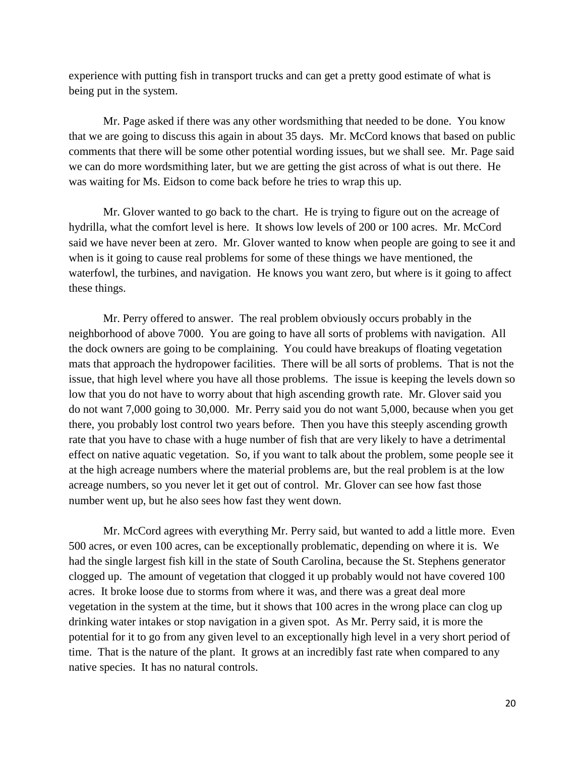experience with putting fish in transport trucks and can get a pretty good estimate of what is being put in the system.

Mr. Page asked if there was any other wordsmithing that needed to be done. You know that we are going to discuss this again in about 35 days. Mr. McCord knows that based on public comments that there will be some other potential wording issues, but we shall see. Mr. Page said we can do more wordsmithing later, but we are getting the gist across of what is out there. He was waiting for Ms. Eidson to come back before he tries to wrap this up.

Mr. Glover wanted to go back to the chart. He is trying to figure out on the acreage of hydrilla, what the comfort level is here. It shows low levels of 200 or 100 acres. Mr. McCord said we have never been at zero. Mr. Glover wanted to know when people are going to see it and when is it going to cause real problems for some of these things we have mentioned, the waterfowl, the turbines, and navigation. He knows you want zero, but where is it going to affect these things.

Mr. Perry offered to answer. The real problem obviously occurs probably in the neighborhood of above 7000. You are going to have all sorts of problems with navigation. All the dock owners are going to be complaining. You could have breakups of floating vegetation mats that approach the hydropower facilities. There will be all sorts of problems. That is not the issue, that high level where you have all those problems. The issue is keeping the levels down so low that you do not have to worry about that high ascending growth rate. Mr. Glover said you do not want 7,000 going to 30,000. Mr. Perry said you do not want 5,000, because when you get there, you probably lost control two years before. Then you have this steeply ascending growth rate that you have to chase with a huge number of fish that are very likely to have a detrimental effect on native aquatic vegetation. So, if you want to talk about the problem, some people see it at the high acreage numbers where the material problems are, but the real problem is at the low acreage numbers, so you never let it get out of control. Mr. Glover can see how fast those number went up, but he also sees how fast they went down.

Mr. McCord agrees with everything Mr. Perry said, but wanted to add a little more. Even 500 acres, or even 100 acres, can be exceptionally problematic, depending on where it is. We had the single largest fish kill in the state of South Carolina, because the St. Stephens generator clogged up. The amount of vegetation that clogged it up probably would not have covered 100 acres. It broke loose due to storms from where it was, and there was a great deal more vegetation in the system at the time, but it shows that 100 acres in the wrong place can clog up drinking water intakes or stop navigation in a given spot. As Mr. Perry said, it is more the potential for it to go from any given level to an exceptionally high level in a very short period of time. That is the nature of the plant. It grows at an incredibly fast rate when compared to any native species. It has no natural controls.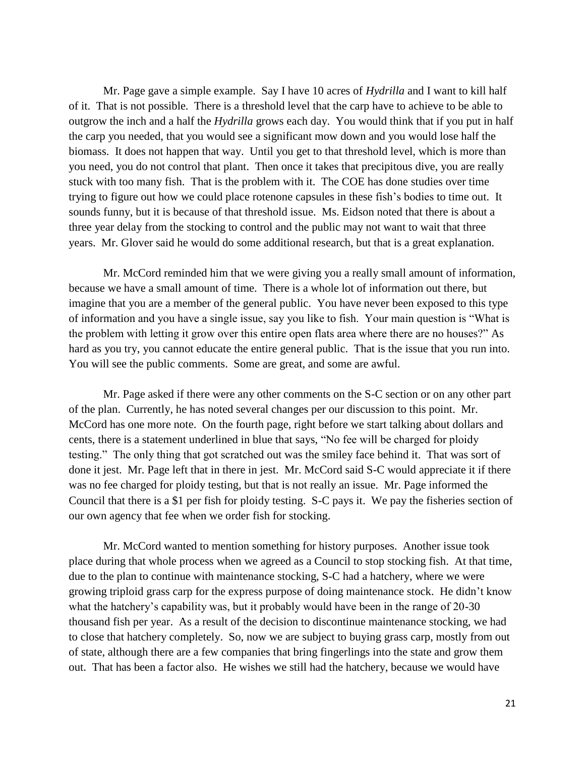Mr. Page gave a simple example. Say I have 10 acres of *Hydrilla* and I want to kill half of it. That is not possible. There is a threshold level that the carp have to achieve to be able to outgrow the inch and a half the *Hydrilla* grows each day. You would think that if you put in half the carp you needed, that you would see a significant mow down and you would lose half the biomass. It does not happen that way. Until you get to that threshold level, which is more than you need, you do not control that plant. Then once it takes that precipitous dive, you are really stuck with too many fish. That is the problem with it. The COE has done studies over time trying to figure out how we could place rotenone capsules in these fish's bodies to time out. It sounds funny, but it is because of that threshold issue. Ms. Eidson noted that there is about a three year delay from the stocking to control and the public may not want to wait that three years. Mr. Glover said he would do some additional research, but that is a great explanation.

Mr. McCord reminded him that we were giving you a really small amount of information, because we have a small amount of time. There is a whole lot of information out there, but imagine that you are a member of the general public. You have never been exposed to this type of information and you have a single issue, say you like to fish. Your main question is "What is the problem with letting it grow over this entire open flats area where there are no houses?" As hard as you try, you cannot educate the entire general public. That is the issue that you run into. You will see the public comments. Some are great, and some are awful.

Mr. Page asked if there were any other comments on the S-C section or on any other part of the plan. Currently, he has noted several changes per our discussion to this point. Mr. McCord has one more note. On the fourth page, right before we start talking about dollars and cents, there is a statement underlined in blue that says, "No fee will be charged for ploidy testing." The only thing that got scratched out was the smiley face behind it. That was sort of done it jest. Mr. Page left that in there in jest. Mr. McCord said S-C would appreciate it if there was no fee charged for ploidy testing, but that is not really an issue. Mr. Page informed the Council that there is a \$1 per fish for ploidy testing. S-C pays it. We pay the fisheries section of our own agency that fee when we order fish for stocking.

Mr. McCord wanted to mention something for history purposes. Another issue took place during that whole process when we agreed as a Council to stop stocking fish. At that time, due to the plan to continue with maintenance stocking, S-C had a hatchery, where we were growing triploid grass carp for the express purpose of doing maintenance stock. He didn't know what the hatchery's capability was, but it probably would have been in the range of 20-30 thousand fish per year. As a result of the decision to discontinue maintenance stocking, we had to close that hatchery completely. So, now we are subject to buying grass carp, mostly from out of state, although there are a few companies that bring fingerlings into the state and grow them out. That has been a factor also. He wishes we still had the hatchery, because we would have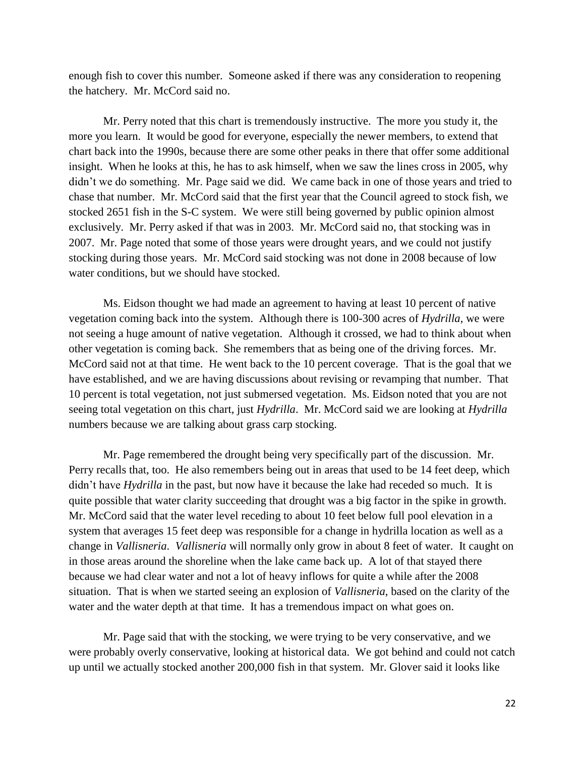enough fish to cover this number. Someone asked if there was any consideration to reopening the hatchery. Mr. McCord said no.

Mr. Perry noted that this chart is tremendously instructive. The more you study it, the more you learn. It would be good for everyone, especially the newer members, to extend that chart back into the 1990s, because there are some other peaks in there that offer some additional insight. When he looks at this, he has to ask himself, when we saw the lines cross in 2005, why didn't we do something. Mr. Page said we did. We came back in one of those years and tried to chase that number. Mr. McCord said that the first year that the Council agreed to stock fish, we stocked 2651 fish in the S-C system. We were still being governed by public opinion almost exclusively. Mr. Perry asked if that was in 2003. Mr. McCord said no, that stocking was in 2007. Mr. Page noted that some of those years were drought years, and we could not justify stocking during those years. Mr. McCord said stocking was not done in 2008 because of low water conditions, but we should have stocked.

Ms. Eidson thought we had made an agreement to having at least 10 percent of native vegetation coming back into the system. Although there is 100-300 acres of *Hydrilla*, we were not seeing a huge amount of native vegetation. Although it crossed, we had to think about when other vegetation is coming back. She remembers that as being one of the driving forces. Mr. McCord said not at that time. He went back to the 10 percent coverage. That is the goal that we have established, and we are having discussions about revising or revamping that number. That 10 percent is total vegetation, not just submersed vegetation. Ms. Eidson noted that you are not seeing total vegetation on this chart, just *Hydrilla*. Mr. McCord said we are looking at *Hydrilla* numbers because we are talking about grass carp stocking.

Mr. Page remembered the drought being very specifically part of the discussion. Mr. Perry recalls that, too. He also remembers being out in areas that used to be 14 feet deep, which didn't have *Hydrilla* in the past, but now have it because the lake had receded so much. It is quite possible that water clarity succeeding that drought was a big factor in the spike in growth. Mr. McCord said that the water level receding to about 10 feet below full pool elevation in a system that averages 15 feet deep was responsible for a change in hydrilla location as well as a change in *Vallisneria*. *Vallisneria* will normally only grow in about 8 feet of water. It caught on in those areas around the shoreline when the lake came back up. A lot of that stayed there because we had clear water and not a lot of heavy inflows for quite a while after the 2008 situation. That is when we started seeing an explosion of *Vallisneria*, based on the clarity of the water and the water depth at that time. It has a tremendous impact on what goes on.

Mr. Page said that with the stocking, we were trying to be very conservative, and we were probably overly conservative, looking at historical data. We got behind and could not catch up until we actually stocked another 200,000 fish in that system. Mr. Glover said it looks like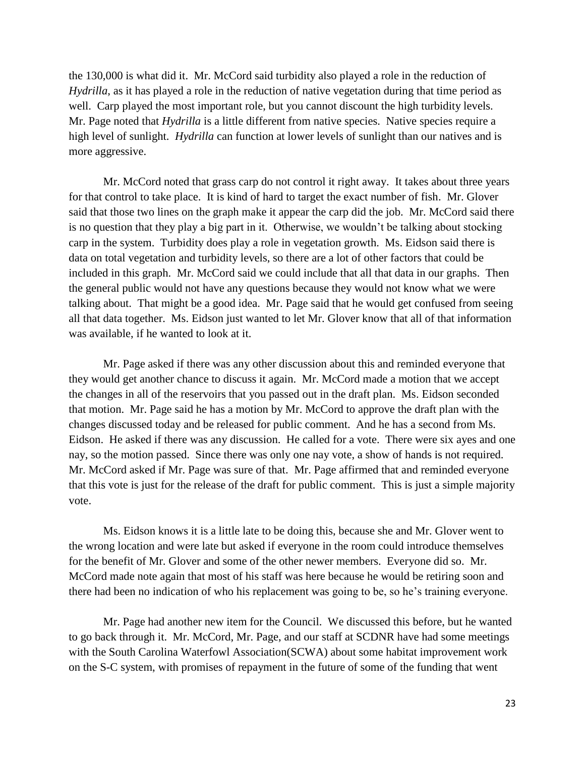the 130,000 is what did it. Mr. McCord said turbidity also played a role in the reduction of *Hydrilla*, as it has played a role in the reduction of native vegetation during that time period as well. Carp played the most important role, but you cannot discount the high turbidity levels. Mr. Page noted that *Hydrilla* is a little different from native species. Native species require a high level of sunlight. *Hydrilla* can function at lower levels of sunlight than our natives and is more aggressive.

Mr. McCord noted that grass carp do not control it right away. It takes about three years for that control to take place. It is kind of hard to target the exact number of fish. Mr. Glover said that those two lines on the graph make it appear the carp did the job. Mr. McCord said there is no question that they play a big part in it. Otherwise, we wouldn't be talking about stocking carp in the system. Turbidity does play a role in vegetation growth. Ms. Eidson said there is data on total vegetation and turbidity levels, so there are a lot of other factors that could be included in this graph. Mr. McCord said we could include that all that data in our graphs. Then the general public would not have any questions because they would not know what we were talking about. That might be a good idea. Mr. Page said that he would get confused from seeing all that data together. Ms. Eidson just wanted to let Mr. Glover know that all of that information was available, if he wanted to look at it.

Mr. Page asked if there was any other discussion about this and reminded everyone that they would get another chance to discuss it again. Mr. McCord made a motion that we accept the changes in all of the reservoirs that you passed out in the draft plan. Ms. Eidson seconded that motion. Mr. Page said he has a motion by Mr. McCord to approve the draft plan with the changes discussed today and be released for public comment. And he has a second from Ms. Eidson. He asked if there was any discussion. He called for a vote. There were six ayes and one nay, so the motion passed. Since there was only one nay vote, a show of hands is not required. Mr. McCord asked if Mr. Page was sure of that. Mr. Page affirmed that and reminded everyone that this vote is just for the release of the draft for public comment. This is just a simple majority vote.

Ms. Eidson knows it is a little late to be doing this, because she and Mr. Glover went to the wrong location and were late but asked if everyone in the room could introduce themselves for the benefit of Mr. Glover and some of the other newer members. Everyone did so. Mr. McCord made note again that most of his staff was here because he would be retiring soon and there had been no indication of who his replacement was going to be, so he's training everyone.

Mr. Page had another new item for the Council. We discussed this before, but he wanted to go back through it. Mr. McCord, Mr. Page, and our staff at SCDNR have had some meetings with the South Carolina Waterfowl Association(SCWA) about some habitat improvement work on the S-C system, with promises of repayment in the future of some of the funding that went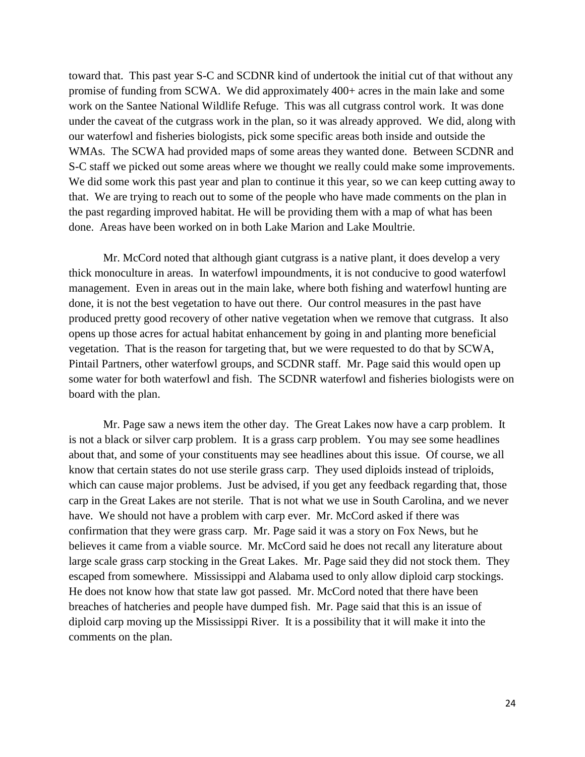toward that. This past year S-C and SCDNR kind of undertook the initial cut of that without any promise of funding from SCWA. We did approximately 400+ acres in the main lake and some work on the Santee National Wildlife Refuge. This was all cutgrass control work. It was done under the caveat of the cutgrass work in the plan, so it was already approved. We did, along with our waterfowl and fisheries biologists, pick some specific areas both inside and outside the WMAs. The SCWA had provided maps of some areas they wanted done. Between SCDNR and S-C staff we picked out some areas where we thought we really could make some improvements. We did some work this past year and plan to continue it this year, so we can keep cutting away to that. We are trying to reach out to some of the people who have made comments on the plan in the past regarding improved habitat. He will be providing them with a map of what has been done. Areas have been worked on in both Lake Marion and Lake Moultrie.

Mr. McCord noted that although giant cutgrass is a native plant, it does develop a very thick monoculture in areas. In waterfowl impoundments, it is not conducive to good waterfowl management. Even in areas out in the main lake, where both fishing and waterfowl hunting are done, it is not the best vegetation to have out there. Our control measures in the past have produced pretty good recovery of other native vegetation when we remove that cutgrass. It also opens up those acres for actual habitat enhancement by going in and planting more beneficial vegetation. That is the reason for targeting that, but we were requested to do that by SCWA, Pintail Partners, other waterfowl groups, and SCDNR staff. Mr. Page said this would open up some water for both waterfowl and fish. The SCDNR waterfowl and fisheries biologists were on board with the plan.

Mr. Page saw a news item the other day. The Great Lakes now have a carp problem. It is not a black or silver carp problem. It is a grass carp problem. You may see some headlines about that, and some of your constituents may see headlines about this issue. Of course, we all know that certain states do not use sterile grass carp. They used diploids instead of triploids, which can cause major problems. Just be advised, if you get any feedback regarding that, those carp in the Great Lakes are not sterile. That is not what we use in South Carolina, and we never have. We should not have a problem with carp ever. Mr. McCord asked if there was confirmation that they were grass carp. Mr. Page said it was a story on Fox News, but he believes it came from a viable source. Mr. McCord said he does not recall any literature about large scale grass carp stocking in the Great Lakes. Mr. Page said they did not stock them. They escaped from somewhere. Mississippi and Alabama used to only allow diploid carp stockings. He does not know how that state law got passed. Mr. McCord noted that there have been breaches of hatcheries and people have dumped fish. Mr. Page said that this is an issue of diploid carp moving up the Mississippi River. It is a possibility that it will make it into the comments on the plan.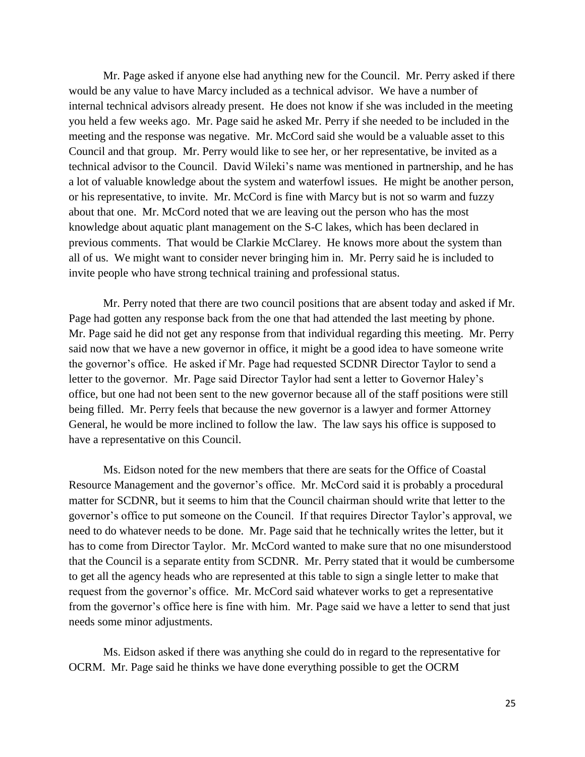Mr. Page asked if anyone else had anything new for the Council. Mr. Perry asked if there would be any value to have Marcy included as a technical advisor. We have a number of internal technical advisors already present. He does not know if she was included in the meeting you held a few weeks ago. Mr. Page said he asked Mr. Perry if she needed to be included in the meeting and the response was negative. Mr. McCord said she would be a valuable asset to this Council and that group. Mr. Perry would like to see her, or her representative, be invited as a technical advisor to the Council. David Wileki's name was mentioned in partnership, and he has a lot of valuable knowledge about the system and waterfowl issues. He might be another person, or his representative, to invite. Mr. McCord is fine with Marcy but is not so warm and fuzzy about that one. Mr. McCord noted that we are leaving out the person who has the most knowledge about aquatic plant management on the S-C lakes, which has been declared in previous comments. That would be Clarkie McClarey. He knows more about the system than all of us. We might want to consider never bringing him in. Mr. Perry said he is included to invite people who have strong technical training and professional status.

Mr. Perry noted that there are two council positions that are absent today and asked if Mr. Page had gotten any response back from the one that had attended the last meeting by phone. Mr. Page said he did not get any response from that individual regarding this meeting. Mr. Perry said now that we have a new governor in office, it might be a good idea to have someone write the governor's office. He asked if Mr. Page had requested SCDNR Director Taylor to send a letter to the governor. Mr. Page said Director Taylor had sent a letter to Governor Haley's office, but one had not been sent to the new governor because all of the staff positions were still being filled. Mr. Perry feels that because the new governor is a lawyer and former Attorney General, he would be more inclined to follow the law. The law says his office is supposed to have a representative on this Council.

Ms. Eidson noted for the new members that there are seats for the Office of Coastal Resource Management and the governor's office. Mr. McCord said it is probably a procedural matter for SCDNR, but it seems to him that the Council chairman should write that letter to the governor's office to put someone on the Council. If that requires Director Taylor's approval, we need to do whatever needs to be done. Mr. Page said that he technically writes the letter, but it has to come from Director Taylor. Mr. McCord wanted to make sure that no one misunderstood that the Council is a separate entity from SCDNR. Mr. Perry stated that it would be cumbersome to get all the agency heads who are represented at this table to sign a single letter to make that request from the governor's office. Mr. McCord said whatever works to get a representative from the governor's office here is fine with him. Mr. Page said we have a letter to send that just needs some minor adjustments.

Ms. Eidson asked if there was anything she could do in regard to the representative for OCRM. Mr. Page said he thinks we have done everything possible to get the OCRM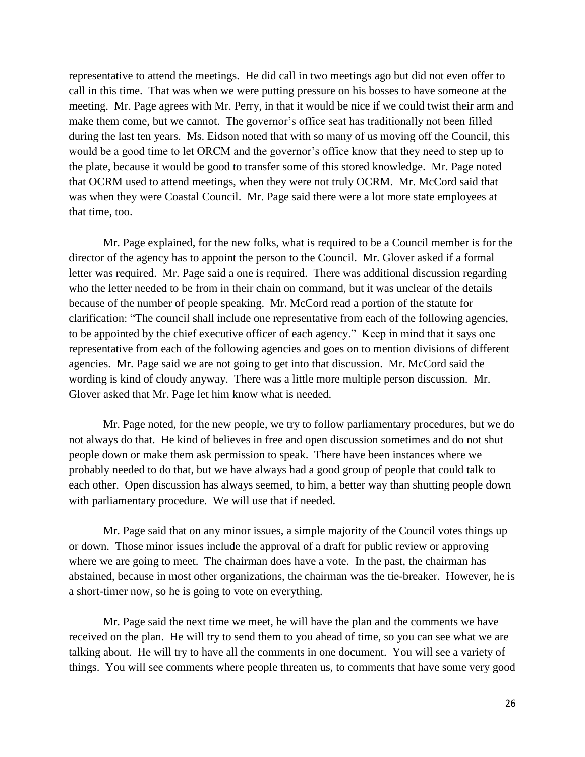representative to attend the meetings. He did call in two meetings ago but did not even offer to call in this time. That was when we were putting pressure on his bosses to have someone at the meeting. Mr. Page agrees with Mr. Perry, in that it would be nice if we could twist their arm and make them come, but we cannot. The governor's office seat has traditionally not been filled during the last ten years. Ms. Eidson noted that with so many of us moving off the Council, this would be a good time to let ORCM and the governor's office know that they need to step up to the plate, because it would be good to transfer some of this stored knowledge. Mr. Page noted that OCRM used to attend meetings, when they were not truly OCRM. Mr. McCord said that was when they were Coastal Council. Mr. Page said there were a lot more state employees at that time, too.

Mr. Page explained, for the new folks, what is required to be a Council member is for the director of the agency has to appoint the person to the Council. Mr. Glover asked if a formal letter was required. Mr. Page said a one is required. There was additional discussion regarding who the letter needed to be from in their chain on command, but it was unclear of the details because of the number of people speaking. Mr. McCord read a portion of the statute for clarification: "The council shall include one representative from each of the following agencies, to be appointed by the chief executive officer of each agency." Keep in mind that it says one representative from each of the following agencies and goes on to mention divisions of different agencies. Mr. Page said we are not going to get into that discussion. Mr. McCord said the wording is kind of cloudy anyway. There was a little more multiple person discussion. Mr. Glover asked that Mr. Page let him know what is needed.

Mr. Page noted, for the new people, we try to follow parliamentary procedures, but we do not always do that. He kind of believes in free and open discussion sometimes and do not shut people down or make them ask permission to speak. There have been instances where we probably needed to do that, but we have always had a good group of people that could talk to each other. Open discussion has always seemed, to him, a better way than shutting people down with parliamentary procedure. We will use that if needed.

Mr. Page said that on any minor issues, a simple majority of the Council votes things up or down. Those minor issues include the approval of a draft for public review or approving where we are going to meet. The chairman does have a vote. In the past, the chairman has abstained, because in most other organizations, the chairman was the tie-breaker. However, he is a short-timer now, so he is going to vote on everything.

Mr. Page said the next time we meet, he will have the plan and the comments we have received on the plan. He will try to send them to you ahead of time, so you can see what we are talking about. He will try to have all the comments in one document. You will see a variety of things. You will see comments where people threaten us, to comments that have some very good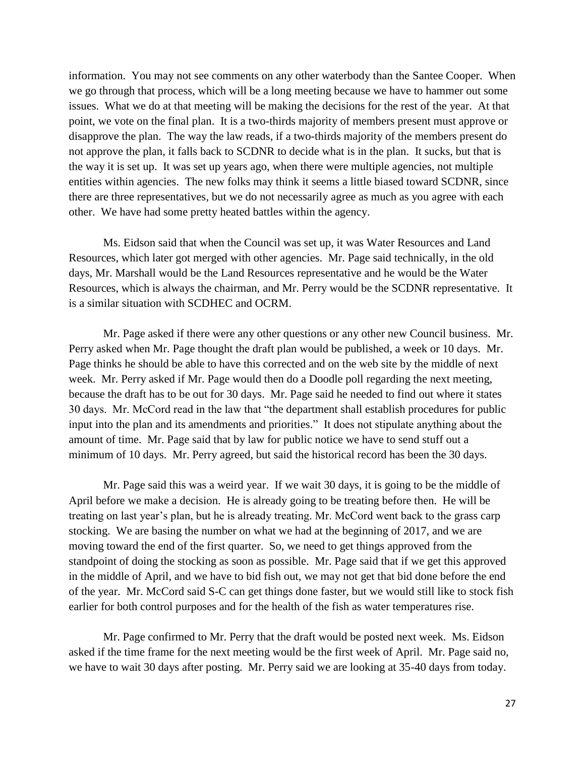information. You may not see comments on any other waterbody than the Santee Cooper. When we go through that process, which will be a long meeting because we have to hammer out some issues. What we do at that meeting will be making the decisions for the rest of the year. At that point, we vote on the final plan. It is a two-thirds majority of members present must approve or disapprove the plan. The way the law reads, if a two-thirds majority of the members present do not approve the plan, it falls back to SCDNR to decide what is in the plan. It sucks, but that is the way it is set up. It was set up years ago, when there were multiple agencies, not multiple entities within agencies. The new folks may think it seems a little biased toward SCDNR, since there are three representatives, but we do not necessarily agree as much as you agree with each other. We have had some pretty heated battles within the agency.

Ms. Eidson said that when the Council was set up, it was Water Resources and Land Resources, which later got merged with other agencies. Mr. Page said technically, in the old days, Mr. Marshall would be the Land Resources representative and he would be the Water Resources, which is always the chairman, and Mr. Perry would be the SCDNR representative. It is a similar situation with SCDHEC and OCRM.

Mr. Page asked if there were any other questions or any other new Council business. Mr. Perry asked when Mr. Page thought the draft plan would be published, a week or 10 days. Mr. Page thinks he should be able to have this corrected and on the web site by the middle of next week. Mr. Perry asked if Mr. Page would then do a Doodle poll regarding the next meeting, because the draft has to be out for 30 days. Mr. Page said he needed to find out where it states 30 days. Mr. McCord read in the law that "the department shall establish procedures for public input into the plan and its amendments and priorities." It does not stipulate anything about the amount of time. Mr. Page said that by law for public notice we have to send stuff out a minimum of 10 days. Mr. Perry agreed, but said the historical record has been the 30 days.

Mr. Page said this was a weird year. If we wait 30 days, it is going to be the middle of April before we make a decision. He is already going to be treating before then. He will be treating on last year's plan, but he is already treating. Mr. McCord went back to the grass carp stocking. We are basing the number on what we had at the beginning of 2017, and we are moving toward the end of the first quarter. So, we need to get things approved from the standpoint of doing the stocking as soon as possible. Mr. Page said that if we get this approved in the middle of April, and we have to bid fish out, we may not get that bid done before the end of the year. Mr. McCord said S-C can get things done faster, but we would still like to stock fish earlier for both control purposes and for the health of the fish as water temperatures rise.

Mr. Page confirmed to Mr. Perry that the draft would be posted next week. Ms. Eidson asked if the time frame for the next meeting would be the first week of April. Mr. Page said no, we have to wait 30 days after posting. Mr. Perry said we are looking at 35-40 days from today.